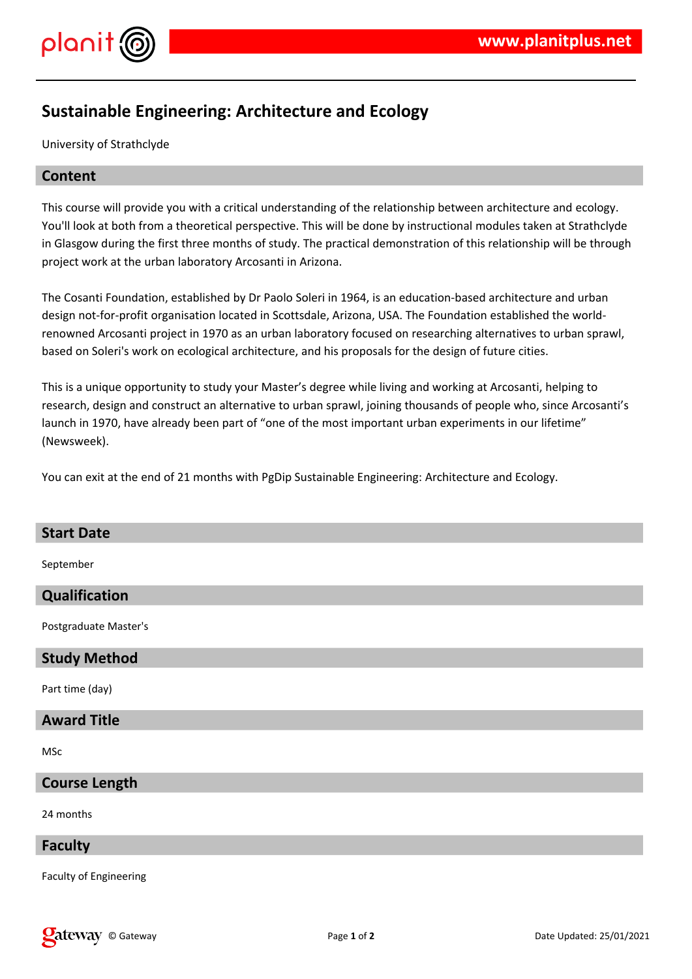

# **Sustainable Engineering: Architecture and Ecology**

University of Strathclyde

## **Content**

This course will provide you with a critical understanding of the relationship between architecture and ecology. You'll look at both from a theoretical perspective. This will be done by instructional modules taken at Strathclyde in Glasgow during the first three months of study. The practical demonstration of this relationship will be through project work at the urban laboratory Arcosanti in Arizona.

The Cosanti Foundation, established by Dr Paolo Soleri in 1964, is an education-based architecture and urban design not-for-profit organisation located in Scottsdale, Arizona, USA. The Foundation established the worldrenowned Arcosanti project in 1970 as an urban laboratory focused on researching alternatives to urban sprawl, based on Soleri's work on ecological architecture, and his proposals for the design of future cities.

This is a unique opportunity to study your Master's degree while living and working at Arcosanti, helping to research, design and construct an alternative to urban sprawl, joining thousands of people who, since Arcosanti's launch in 1970, have already been part of "one of the most important urban experiments in our lifetime" (Newsweek).

You can exit at the end of 21 months with PgDip Sustainable Engineering: Architecture and Ecology.

# **Start Date** September **Qualification** Postgraduate Master's **Study Method** Part time (day) **Award Title**

MSc

# **Course Length**

24 months

#### **Faculty**

Faculty of Engineering